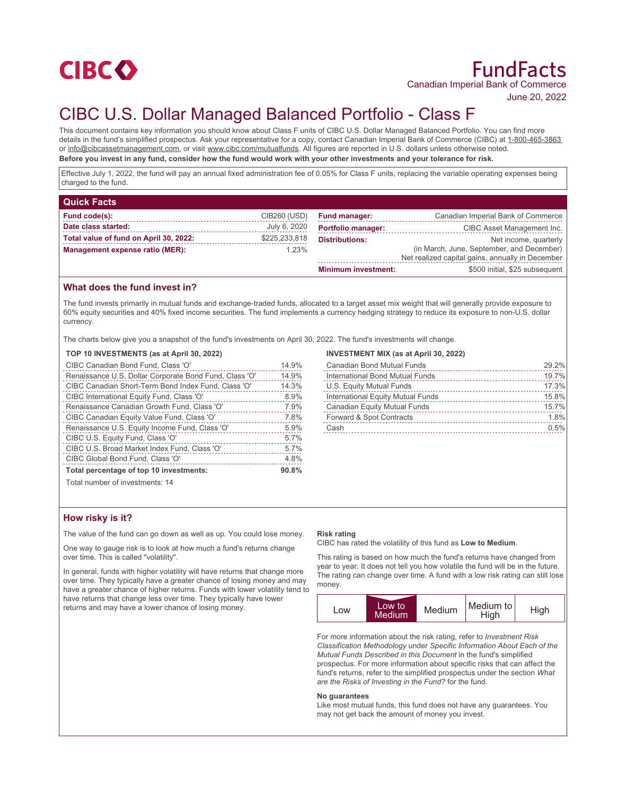

June 20, 2022

# CIBC U.S. Dollar Managed Balanced Portfolio - Class F

This document contains key information you should know about Class F units of CIBC U.S. Dollar Managed Balanced Portfolio. You can find more details in the fund's simplified prospectus. Ask your representative for a copy, contact Canadian Imperial Bank of Commerce (CIBC) at 1-800-465-3863 or info@cibcassetmanagement.com, or visit www.cibc.com/mutualfunds. All figures are reported in U.S. dollars unless otherwise noted. **Before you invest in any fund, consider how the fund would work with your other investments and your tolerance for risk.**

Effective July 1, 2022, the fund will pay an annual fixed administration fee of 0.05% for Class F units, replacing the variable operating expenses being charged to the fund.

| <b>Quick Facts</b>                     |               |                            |                                                  |
|----------------------------------------|---------------|----------------------------|--------------------------------------------------|
| Fund code(s):                          | CIB260 (USD)  | <b>Fund manager:</b>       | Canadian Imperial Bank of Commerce               |
| Date class started:                    | July 6, 2020  | <b>Portfolio manager:</b>  | CIBC Asset Management Inc.                       |
| Total value of fund on April 30, 2022: | \$225,233,818 | <b>Distributions:</b>      | Net income, quarterly                            |
| Management expense ratio (MER):        | 1.23%         |                            | (in March, June, September, and December)        |
|                                        |               |                            | Net realized capital gains, annually in December |
|                                        |               | <b>Minimum investment:</b> | \$500 initial, \$25 subsequent                   |

## **What does the fund invest in?**

The fund invests primarily in mutual funds and exchange-traded funds, allocated to a target asset mix weight that will generally provide exposure to 60% equity securities and 40% fixed income securities. The fund implements a currency hedging strategy to reduce its exposure to non-U.S. dollar currency.

The charts below give you a snapshot of the fund's investments on April 30, 2022. The fund's investments will change.

#### **TOP 10 INVESTMENTS (as at April 30, 2022)**

| CIBC Canadian Bond Fund, Class 'O'                     | 14.9% |
|--------------------------------------------------------|-------|
| Renaissance U.S. Dollar Corporate Bond Fund, Class 'O' | 14.9% |
| CIBC Canadian Short-Term Bond Index Fund, Class 'O'    | 14.3% |
| CIBC International Equity Fund, Class 'O'              | 8.9%  |
| Renaissance Canadian Growth Fund, Class 'O'            | 7.9%  |
| CIBC Canadian Equity Value Fund, Class 'O'             | 7.8%  |
| Renaissance U.S. Equity Income Fund, Class 'O'         | 5.9%  |
| CIBC U.S. Equity Fund, Class 'O'                       | 5.7%  |
| CIBC U.S. Broad Market Index Fund, Class 'O'           | 5.7%  |
| CIBC Global Bond Fund, Class 'O'                       | 4.8%  |
| Total percentage of top 10 investments:                |       |
| Total number of investments: 14                        |       |

#### **INVESTMENT MIX (as at April 30, 2022)**

| 29.2% |
|-------|
| 19.7% |
| 17.3% |
| 15.8% |
| 15.7% |
| 1.8%  |
| 0.5%  |
|       |

Total number of investments: 14

### **How risky is it?**

The value of the fund can go down as well as up. You could lose money.

One way to gauge risk is to look at how much a fund's returns change over time. This is called "volatility".

In general, funds with higher volatility will have returns that change more over time. They typically have a greater chance of losing money and may have a greater chance of higher returns. Funds with lower volatility tend to have returns that change less over time. They typically have lower returns and may have a lower chance of losing money.

#### **Risk rating**

CIBC has rated the volatility of this fund as **Low to Medium**.

This rating is based on how much the fund's returns have changed from year to year. It does not tell you how volatile the fund will be in the future. The rating can change over time. A fund with a low risk rating can still lose money.



For more information about the risk rating, refer to *Investment Risk Classification Methodology* under *Specific Information About Each of the Mutual Funds Described in this Document* in the fund's simplified prospectus. For more information about specific risks that can affect the fund's returns, refer to the simplified prospectus under the section *What are the Risks of Investing in the Fund?* for the fund.

#### **No guarantees**

Like most mutual funds, this fund does not have any guarantees. You may not get back the amount of money you invest.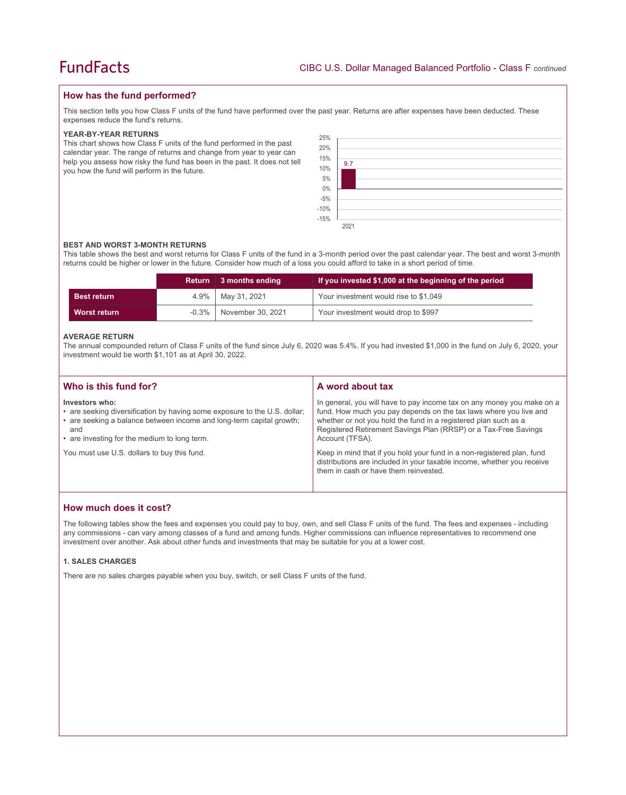## **How has the fund performed?**

This section tells you how Class F units of the fund have performed over the past year. Returns are after expenses have been deducted. These expenses reduce the fund's returns.

#### **YEAR-BY-YEAR RETURNS**

This chart shows how Class F units of the fund performed in the past calendar year. The range of returns and change from year to year can help you assess how risky the fund has been in the past. It does not tell you how the fund will perform in the future.

| 25%<br>20%<br>15%<br>10%<br>5%<br>$0\%$<br>-5%<br>-10%<br>-15% | 9.7  |
|----------------------------------------------------------------|------|
|                                                                |      |
|                                                                |      |
|                                                                | 2021 |

#### **BEST AND WORST 3-MONTH RETURNS**

This table shows the best and worst returns for Class F units of the fund in a 3-month period over the past calendar year. The best and worst 3-month returns could be higher or lower in the future. Consider how much of a loss you could afford to take in a short period of time.

|                    | Return   | $\parallel$ 3 months ending | If you invested \$1,000 at the beginning of the period |
|--------------------|----------|-----------------------------|--------------------------------------------------------|
| <b>Best return</b> | $4.9\%$  | May 31, 2021                | Your investment would rise to \$1,049                  |
| Worst return       | $-0.3\%$ | November 30, 2021           | Your investment would drop to \$997                    |

#### **AVERAGE RETURN**

The annual compounded return of Class F units of the fund since July 6, 2020 was 5.4%. If you had invested \$1,000 in the fund on July 6, 2020, your investment would be worth \$1,101 as at April 30, 2022.

| Who is this fund for?                                                                                                                                                                                                      | A word about tax                                                                                                                                                                                                                                                                                     |
|----------------------------------------------------------------------------------------------------------------------------------------------------------------------------------------------------------------------------|------------------------------------------------------------------------------------------------------------------------------------------------------------------------------------------------------------------------------------------------------------------------------------------------------|
| Investors who:<br>• are seeking diversification by having some exposure to the U.S. dollar;<br>• are seeking a balance between income and long-term capital growth;<br>and<br>• are investing for the medium to long term. | In general, you will have to pay income tax on any money you make on a<br>fund. How much you pay depends on the tax laws where you live and<br>whether or not you hold the fund in a registered plan such as a<br>Registered Retirement Savings Plan (RRSP) or a Tax-Free Savings<br>Account (TFSA). |
| You must use U.S. dollars to buy this fund.                                                                                                                                                                                | Keep in mind that if you hold your fund in a non-registered plan, fund<br>distributions are included in your taxable income, whether you receive<br>them in cash or have them reinvested.                                                                                                            |

## **How much does it cost?**

The following tables show the fees and expenses you could pay to buy, own, and sell Class F units of the fund. The fees and expenses - including any commissions - can vary among classes of a fund and among funds. Higher commissions can influence representatives to recommend one investment over another. Ask about other funds and investments that may be suitable for you at a lower cost.

#### **1. SALES CHARGES**

There are no sales charges payable when you buy, switch, or sell Class F units of the fund.